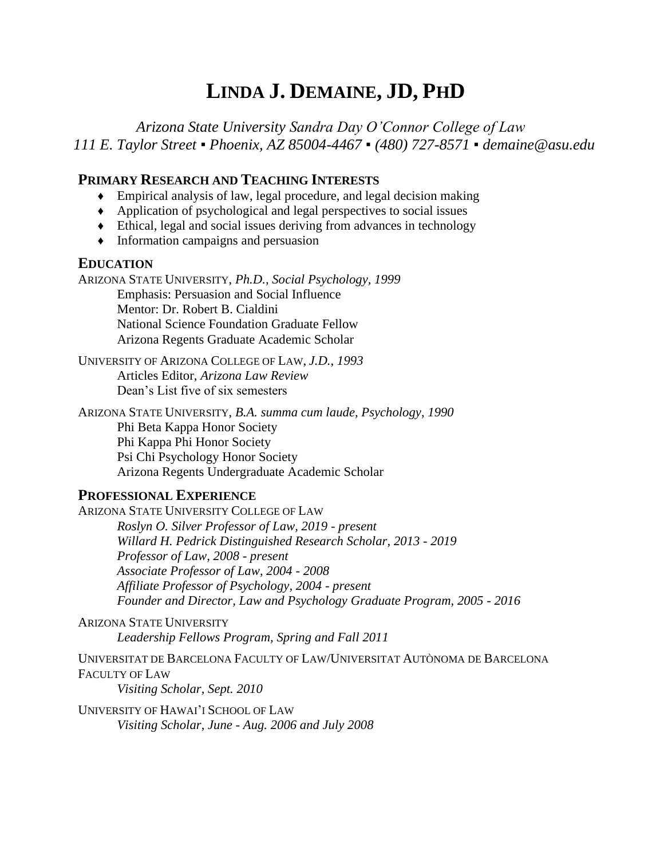# **LINDA J. DEMAINE, JD, PHD**

*Arizona State University Sandra Day O'Connor College of Law 111 E. Taylor Street ▪ Phoenix, AZ 85004-4467 ▪ (480) 727-8571 ▪ demaine@asu.edu*

# **PRIMARY RESEARCH AND TEACHING INTERESTS**

- ♦ Empirical analysis of law, legal procedure, and legal decision making
- ♦ Application of psychological and legal perspectives to social issues
- ♦ Ethical, legal and social issues deriving from advances in technology
- ♦ Information campaigns and persuasion

# **EDUCATION**

ARIZONA STATE UNIVERSITY, *Ph.D., Social Psychology, 1999* Emphasis: Persuasion and Social Influence Mentor: Dr. Robert B. Cialdini National Science Foundation Graduate Fellow Arizona Regents Graduate Academic Scholar

UNIVERSITY OF ARIZONA COLLEGE OF LAW, *J.D.*, *1993* Articles Editor, *Arizona Law Review* Dean's List five of six semesters

ARIZONA STATE UNIVERSITY, *B.A. summa cum laude, Psychology*, *1990* Phi Beta Kappa Honor Society Phi Kappa Phi Honor Society Psi Chi Psychology Honor Society Arizona Regents Undergraduate Academic Scholar

# **PROFESSIONAL EXPERIENCE**

ARIZONA STATE UNIVERSITY COLLEGE OF LAW *Roslyn O. Silver Professor of Law, 2019 - present Willard H. Pedrick Distinguished Research Scholar, 2013 - 2019 Professor of Law, 2008 - present Associate Professor of Law, 2004 - 2008 Affiliate Professor of Psychology, 2004 - present Founder and Director, Law and Psychology Graduate Program, 2005 - 2016*

ARIZONA STATE UNIVERSITY *Leadership Fellows Program, Spring and Fall 2011*

UNIVERSITAT DE BARCELONA FACULTY OF LAW/UNIVERSITAT AUTÒNOMA DE BARCELONA FACULTY OF LAW

*Visiting Scholar, Sept. 2010*

UNIVERSITY OF HAWAI'I SCHOOL OF LAW *Visiting Scholar, June - Aug. 2006 and July 2008*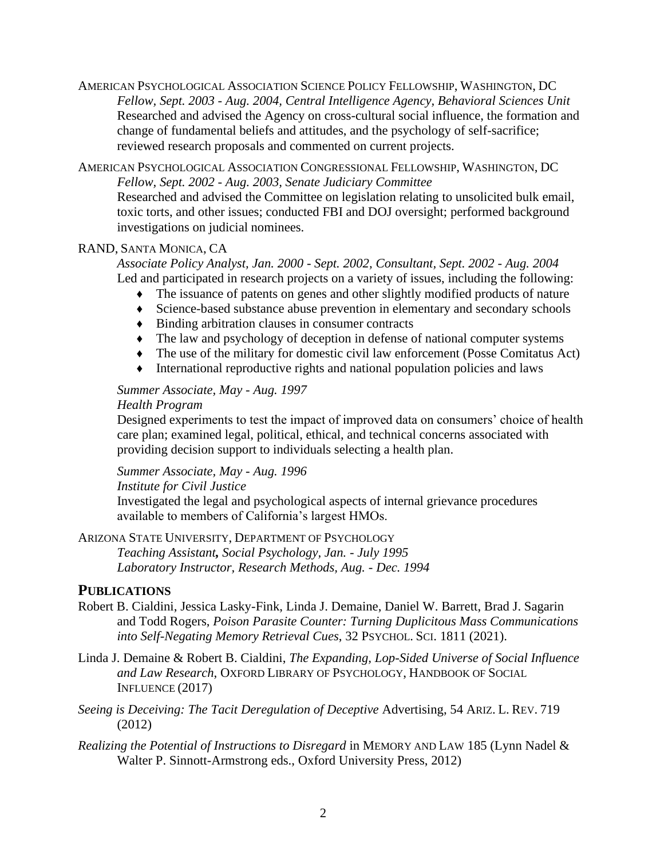AMERICAN PSYCHOLOGICAL ASSOCIATION SCIENCE POLICY FELLOWSHIP, WASHINGTON, DC *Fellow, Sept. 2003 - Aug. 2004, Central Intelligence Agency, Behavioral Sciences Unit*  Researched and advised the Agency on cross-cultural social influence, the formation and change of fundamental beliefs and attitudes, and the psychology of self-sacrifice; reviewed research proposals and commented on current projects.

AMERICAN PSYCHOLOGICAL ASSOCIATION CONGRESSIONAL FELLOWSHIP, WASHINGTON, DC *Fellow, Sept. 2002 - Aug. 2003, Senate Judiciary Committee* Researched and advised the Committee on legislation relating to unsolicited bulk email, toxic torts, and other issues; conducted FBI and DOJ oversight; performed background investigations on judicial nominees.

### RAND, SANTA MONICA, CA

*Associate Policy Analyst, Jan. 2000 - Sept. 2002, Consultant, Sept. 2002 - Aug. 2004* Led and participated in research projects on a variety of issues, including the following:

- ♦ The issuance of patents on genes and other slightly modified products of nature
- ♦ Science-based substance abuse prevention in elementary and secondary schools
- ♦ Binding arbitration clauses in consumer contracts
- ♦ The law and psychology of deception in defense of national computer systems
- ♦ The use of the military for domestic civil law enforcement (Posse Comitatus Act)
- ♦ International reproductive rights and national population policies and laws

### *Summer Associate, May - Aug. 1997*

#### *Health Program*

Designed experiments to test the impact of improved data on consumers' choice of health care plan; examined legal, political, ethical, and technical concerns associated with providing decision support to individuals selecting a health plan.

*Summer Associate, May - Aug. 1996*

*Institute for Civil Justice*

Investigated the legal and psychological aspects of internal grievance procedures available to members of California's largest HMOs.

ARIZONA STATE UNIVERSITY, DEPARTMENT OF PSYCHOLOGY

*Teaching Assistant, Social Psychology, Jan. - July 1995 Laboratory Instructor, Research Methods, Aug. - Dec. 1994*

## **PUBLICATIONS**

- Robert B. Cialdini, Jessica Lasky-Fink, Linda J. Demaine, Daniel W. Barrett, Brad J. Sagarin and Todd Rogers, *Poison Parasite Counter: Turning Duplicitous Mass Communications into Self-Negating Memory Retrieval Cues*, 32 PSYCHOL. SCI. 1811 (2021).
- Linda J. Demaine & Robert B. Cialdini, *The Expanding, Lop-Sided Universe of Social Influence and Law Research*, OXFORD LIBRARY OF PSYCHOLOGY, HANDBOOK OF SOCIAL INFLUENCE (2017)
- *Seeing is Deceiving: The Tacit Deregulation of Deceptive* Advertising, 54 ARIZ. L. REV. 719 (2012)
- *Realizing the Potential of Instructions to Disregard* in MEMORY AND LAW 185 (Lynn Nadel & Walter P. Sinnott-Armstrong eds., Oxford University Press, 2012)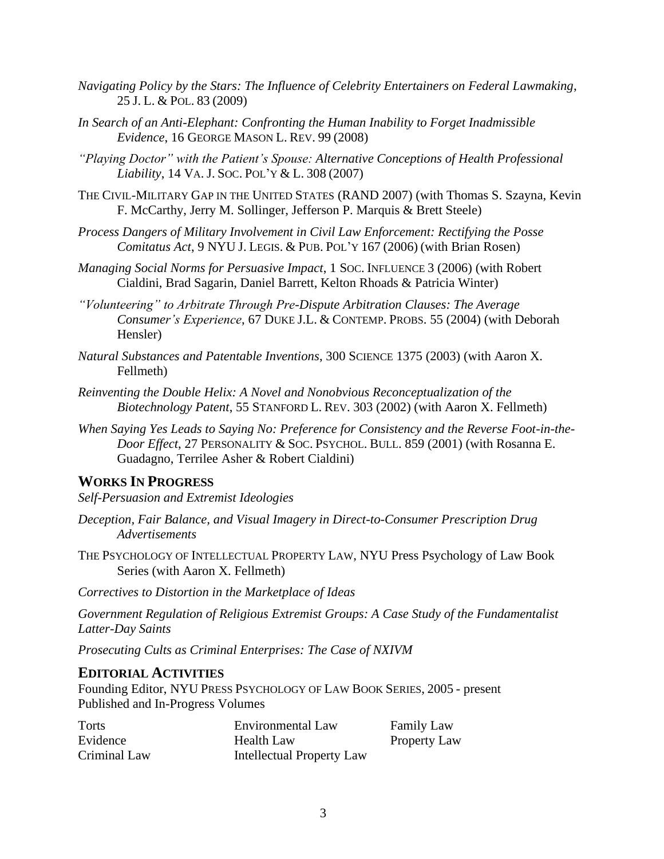- *Navigating Policy by the Stars: The Influence of Celebrity Entertainers on Federal Lawmaking*, 25 J. L. & POL. 83 (2009)
- *In Search of an Anti-Elephant: Confronting the Human Inability to Forget Inadmissible Evidence*, 16 GEORGE MASON L. REV. 99 (2008)
- *"Playing Doctor" with the Patient's Spouse: Alternative Conceptions of Health Professional Liability*, 14 VA. J. SOC. POL'Y & L. 308 (2007)
- THE CIVIL-MILITARY GAP IN THE UNITED STATES (RAND 2007) (with Thomas S. Szayna, Kevin F. McCarthy, Jerry M. Sollinger, Jefferson P. Marquis & Brett Steele)
- *Process Dangers of Military Involvement in Civil Law Enforcement: Rectifying the Posse Comitatus Act*, 9 NYU J. LEGIS. & PUB. POL'Y 167 (2006) (with Brian Rosen)
- *Managing Social Norms for Persuasive Impact*, 1 SOC. INFLUENCE 3 (2006) (with Robert Cialdini, Brad Sagarin, Daniel Barrett, Kelton Rhoads & Patricia Winter)
- *"Volunteering" to Arbitrate Through Pre-Dispute Arbitration Clauses: The Average Consumer's Experience*, 67 DUKE J.L. & CONTEMP. PROBS. 55 (2004) (with Deborah Hensler)
- *Natural Substances and Patentable Inventions*, 300 SCIENCE 1375 (2003) (with Aaron X. Fellmeth)
- *Reinventing the Double Helix: A Novel and Nonobvious Reconceptualization of the Biotechnology Patent*, 55 STANFORD L. REV. 303 (2002) (with Aaron X. Fellmeth)
- *When Saying Yes Leads to Saying No: Preference for Consistency and the Reverse Foot-in-the-Door Effect*, 27 PERSONALITY & SOC. PSYCHOL. BULL. 859 (2001) (with Rosanna E. Guadagno, Terrilee Asher & Robert Cialdini)

# **WORKS IN PROGRESS**

*Self-Persuasion and Extremist Ideologies*

- *Deception, Fair Balance, and Visual Imagery in Direct-to-Consumer Prescription Drug Advertisements*
- THE PSYCHOLOGY OF INTELLECTUAL PROPERTY LAW, NYU Press Psychology of Law Book Series (with Aaron X. Fellmeth)

*Correctives to Distortion in the Marketplace of Ideas*

*Government Regulation of Religious Extremist Groups: A Case Study of the Fundamentalist Latter-Day Saints*

*Prosecuting Cults as Criminal Enterprises: The Case of NXIVM*

## **EDITORIAL ACTIVITIES**

Founding Editor, NYU PRESS PSYCHOLOGY OF LAW BOOK SERIES, 2005 - present Published and In-Progress Volumes

| Torts        | Environmental Law                | <b>Family Law</b>   |
|--------------|----------------------------------|---------------------|
| Evidence     | <b>Health Law</b>                | <b>Property Law</b> |
| Criminal Law | <b>Intellectual Property Law</b> |                     |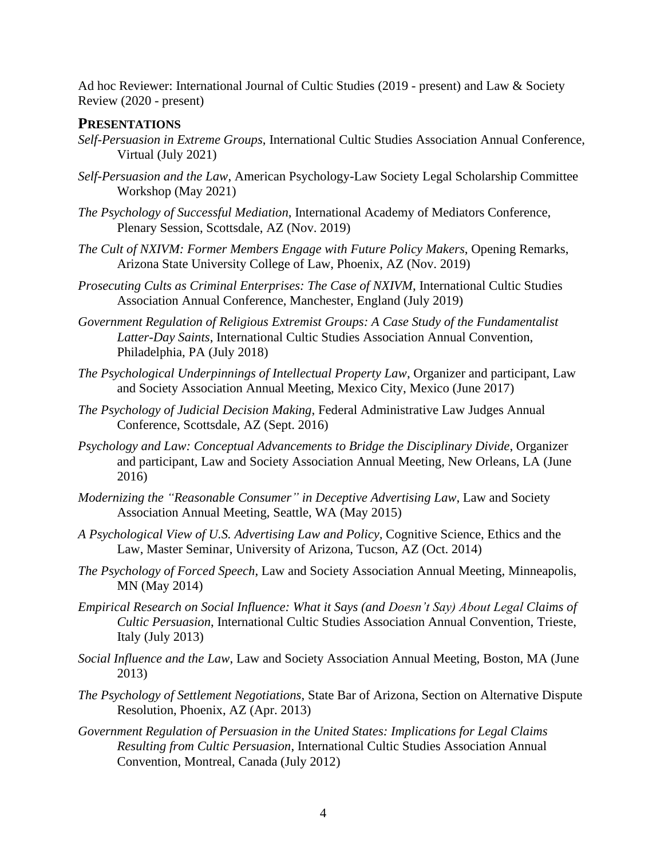Ad hoc Reviewer: International Journal of Cultic Studies (2019 - present) and Law & Society Review (2020 - present)

#### **PRESENTATIONS**

- *Self-Persuasion in Extreme Groups*, International Cultic Studies Association Annual Conference, Virtual (July 2021)
- *Self-Persuasion and the Law*, American Psychology-Law Society Legal Scholarship Committee Workshop (May 2021)
- *The Psychology of Successful Mediation*, International Academy of Mediators Conference, Plenary Session, Scottsdale, AZ (Nov. 2019)
- *The Cult of NXIVM: Former Members Engage with Future Policy Makers*, Opening Remarks, Arizona State University College of Law, Phoenix, AZ (Nov. 2019)
- *Prosecuting Cults as Criminal Enterprises: The Case of NXIVM*, International Cultic Studies Association Annual Conference, Manchester, England (July 2019)
- *Government Regulation of Religious Extremist Groups: A Case Study of the Fundamentalist Latter-Day Saints*, International Cultic Studies Association Annual Convention, Philadelphia, PA (July 2018)
- *The Psychological Underpinnings of Intellectual Property Law*, Organizer and participant, Law and Society Association Annual Meeting, Mexico City, Mexico (June 2017)
- *The Psychology of Judicial Decision Making*, Federal Administrative Law Judges Annual Conference, Scottsdale, AZ (Sept. 2016)
- *Psychology and Law: Conceptual Advancements to Bridge the Disciplinary Divide*, Organizer and participant, Law and Society Association Annual Meeting, New Orleans, LA (June 2016)
- *Modernizing the "Reasonable Consumer" in Deceptive Advertising Law*, Law and Society Association Annual Meeting, Seattle, WA (May 2015)
- *A Psychological View of U.S. Advertising Law and Policy,* Cognitive Science, Ethics and the Law, Master Seminar, University of Arizona, Tucson, AZ (Oct. 2014)
- *The Psychology of Forced Speech*, Law and Society Association Annual Meeting, Minneapolis, MN (May 2014)
- *Empirical Research on Social Influence: What it Says (and Doesn't Say) About Legal Claims of Cultic Persuasion*, International Cultic Studies Association Annual Convention, Trieste, Italy (July 2013)
- *Social Influence and the Law*, Law and Society Association Annual Meeting, Boston, MA (June 2013)
- *The Psychology of Settlement Negotiations*, State Bar of Arizona, Section on Alternative Dispute Resolution, Phoenix, AZ (Apr. 2013)
- *Government Regulation of Persuasion in the United States: Implications for Legal Claims Resulting from Cultic Persuasion*, International Cultic Studies Association Annual Convention, Montreal, Canada (July 2012)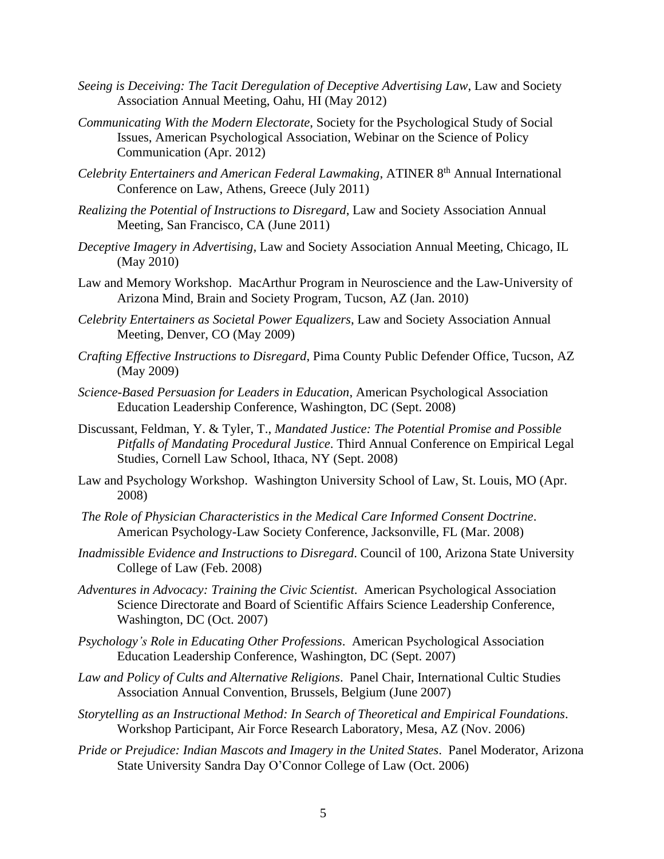- *Seeing is Deceiving: The Tacit Deregulation of Deceptive Advertising Law*, Law and Society Association Annual Meeting, Oahu, HI (May 2012)
- *Communicating With the Modern Electorate*, Society for the Psychological Study of Social Issues, American Psychological Association, Webinar on the Science of Policy Communication (Apr. 2012)
- *Celebrity Entertainers and American Federal Lawmaking*, ATINER 8<sup>th</sup> Annual International Conference on Law, Athens, Greece (July 2011)
- *Realizing the Potential of Instructions to Disregard*, Law and Society Association Annual Meeting, San Francisco, CA (June 2011)
- *Deceptive Imagery in Advertising*, Law and Society Association Annual Meeting, Chicago, IL (May 2010)
- Law and Memory Workshop. MacArthur Program in Neuroscience and the Law-University of Arizona Mind, Brain and Society Program, Tucson, AZ (Jan. 2010)
- *Celebrity Entertainers as Societal Power Equalizers*, Law and Society Association Annual Meeting, Denver, CO (May 2009)
- *Crafting Effective Instructions to Disregard*, Pima County Public Defender Office, Tucson, AZ (May 2009)
- *Science-Based Persuasion for Leaders in Education*, American Psychological Association Education Leadership Conference, Washington, DC (Sept. 2008)
- Discussant, Feldman, Y. & Tyler, T., *Mandated Justice: The Potential Promise and Possible Pitfalls of Mandating Procedural Justice*. Third Annual Conference on Empirical Legal Studies, Cornell Law School, Ithaca, NY (Sept. 2008)
- Law and Psychology Workshop. Washington University School of Law, St. Louis, MO (Apr. 2008)
- *The Role of Physician Characteristics in the Medical Care Informed Consent Doctrine*. American Psychology-Law Society Conference, Jacksonville, FL (Mar. 2008)
- *Inadmissible Evidence and Instructions to Disregard*. Council of 100, Arizona State University College of Law (Feb. 2008)
- *Adventures in Advocacy: Training the Civic Scientist*. American Psychological Association Science Directorate and Board of Scientific Affairs Science Leadership Conference, Washington, DC (Oct. 2007)
- *Psychology's Role in Educating Other Professions*. American Psychological Association Education Leadership Conference, Washington, DC (Sept. 2007)
- *Law and Policy of Cults and Alternative Religions*. Panel Chair, International Cultic Studies Association Annual Convention, Brussels, Belgium (June 2007)
- *Storytelling as an Instructional Method: In Search of Theoretical and Empirical Foundations*. Workshop Participant, Air Force Research Laboratory, Mesa, AZ (Nov. 2006)
- *Pride or Prejudice: Indian Mascots and Imagery in the United States*. Panel Moderator, Arizona State University Sandra Day O'Connor College of Law (Oct. 2006)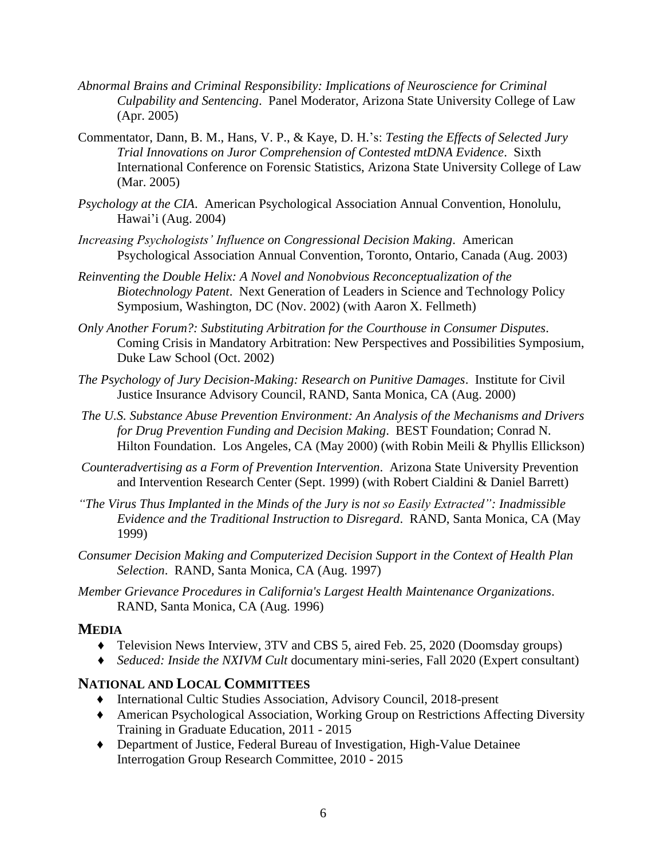- *Abnormal Brains and Criminal Responsibility: Implications of Neuroscience for Criminal Culpability and Sentencing*. Panel Moderator, Arizona State University College of Law (Apr. 2005)
- Commentator, Dann, B. M., Hans, V. P., & Kaye, D. H.'s: *Testing the Effects of Selected Jury Trial Innovations on Juror Comprehension of Contested mtDNA Evidence*. Sixth International Conference on Forensic Statistics, Arizona State University College of Law (Mar. 2005)
- *Psychology at the CIA*. American Psychological Association Annual Convention, Honolulu, Hawai'i (Aug. 2004)
- *Increasing Psychologists' Influence on Congressional Decision Making*. American Psychological Association Annual Convention, Toronto, Ontario, Canada (Aug. 2003)
- *Reinventing the Double Helix: A Novel and Nonobvious Reconceptualization of the Biotechnology Patent*. Next Generation of Leaders in Science and Technology Policy Symposium, Washington, DC (Nov. 2002) (with Aaron X. Fellmeth)
- *Only Another Forum?: Substituting Arbitration for the Courthouse in Consumer Disputes*. Coming Crisis in Mandatory Arbitration: New Perspectives and Possibilities Symposium, Duke Law School (Oct. 2002)
- *The Psychology of Jury Decision-Making: Research on Punitive Damages*. Institute for Civil Justice Insurance Advisory Council, RAND, Santa Monica, CA (Aug. 2000)
- *The U.S. Substance Abuse Prevention Environment: An Analysis of the Mechanisms and Drivers for Drug Prevention Funding and Decision Making*. BEST Foundation; Conrad N. Hilton Foundation. Los Angeles, CA (May 2000) (with Robin Meili & Phyllis Ellickson)
- *Counteradvertising as a Form of Prevention Intervention*. Arizona State University Prevention and Intervention Research Center (Sept. 1999) (with Robert Cialdini & Daniel Barrett)
- *"The Virus Thus Implanted in the Minds of the Jury is not so Easily Extracted": Inadmissible Evidence and the Traditional Instruction to Disregard*. RAND, Santa Monica, CA (May 1999)
- *Consumer Decision Making and Computerized Decision Support in the Context of Health Plan Selection*. RAND, Santa Monica, CA (Aug. 1997)
- *Member Grievance Procedures in California's Largest Health Maintenance Organizations*. RAND, Santa Monica, CA (Aug. 1996)

### **MEDIA**

- ♦ Television News Interview, 3TV and CBS 5, aired Feb. 25, 2020 (Doomsday groups)
- ♦ *Seduced: Inside the NXIVM Cult* documentary mini-series, Fall 2020 (Expert consultant)

## **NATIONAL AND LOCAL COMMITTEES**

- ♦ International Cultic Studies Association, Advisory Council, 2018-present
- ♦ American Psychological Association, Working Group on Restrictions Affecting Diversity Training in Graduate Education, 2011 - 2015
- ♦ Department of Justice, Federal Bureau of Investigation, High-Value Detainee Interrogation Group Research Committee, 2010 - 2015